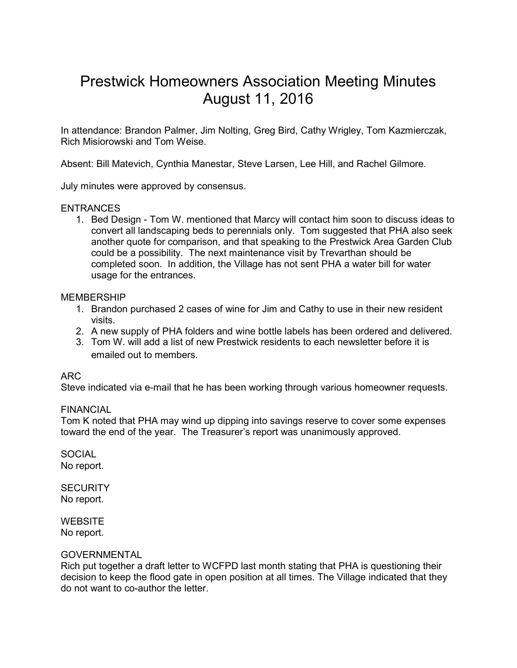# Prestwick Homeowners Association Meeting Minutes August 11, 2016

In attendance: Brandon Palmer, Jim Nolting, Greg Bird, Cathy Wrigley, Tom Kazmierczak, Rich Misiorowski and Tom Weise.

Absent: Bill Matevich, Cynthia Manestar, Steve Larsen, Lee Hill, and Rachel Gilmore.

July minutes were approved by consensus.

## ENTRANCES

1. Bed Design - Tom W. mentioned that Marcy will contact him soon to discuss ideas to convert all landscaping beds to perennials only. Tom suggested that PHA also seek another quote for comparison, and that speaking to the Prestwick Area Garden Club could be a possibility. The next maintenance visit by Trevarthan should be completed soon. In addition, the Village has not sent PHA a water bill for water usage for the entrances.

## MEMBERSHIP

- 1. Brandon purchased 2 cases of wine for Jim and Cathy to use in their new resident visits.
- 2. A new supply of PHA folders and wine bottle labels has been ordered and delivered.
- 3. Tom W. will add a list of new Prestwick residents to each newsletter before it is emailed out to members.

# ARC

Steve indicated via e-mail that he has been working through various homeowner requests.

## FINANCIAL

Tom K noted that PHA may wind up dipping into savings reserve to cover some expenses toward the end of the year. The Treasurer's report was unanimously approved.

**SOCIAL** No report.

**SECURITY** No report.

**WEBSITE** No report.

## **GOVERNMENTAL**

Rich put together a draft letter to WCFPD last month stating that PHA is questioning their decision to keep the flood gate in open position at all times. The Village indicated that they do not want to co-author the letter.